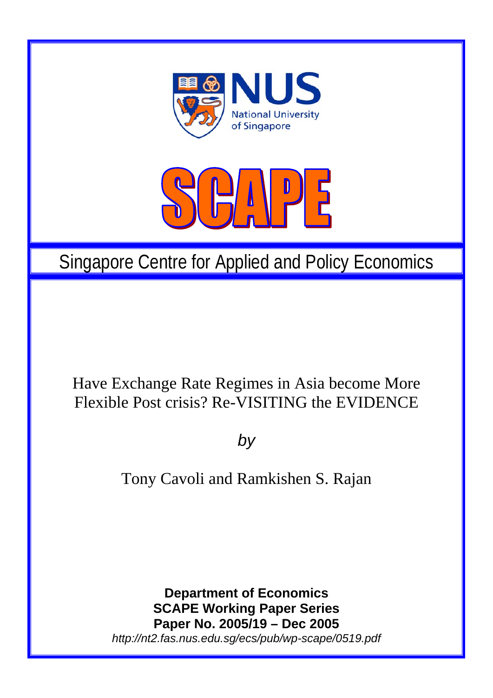



# Singapore Centre for Applied and Policy Economics

# Have Exchange Rate Regimes in Asia become More Flexible Post crisis? Re-VISITING the EVIDENCE

*by* 

Tony Cavoli and Ramkishen S. Rajan

**Department of Economics SCAPE Working Paper Series Paper No. 2005/19 – Dec 2005**  *http://nt2.fas.nus.edu.sg/ecs/pub/wp-scape/0519.pdf*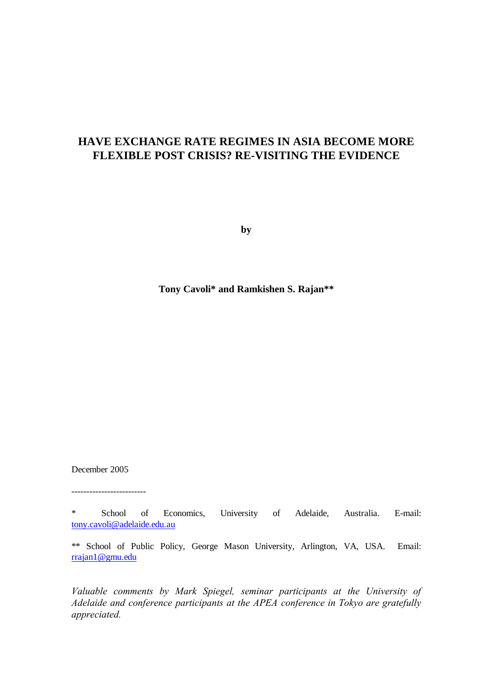# **HAVE EXCHANGE RATE REGIMES IN ASIA BECOME MORE FLEXIBLE POST CRISIS? RE-VISITING THE EVIDENCE**

**by** 

**Tony Cavoli\* and Ramkishen S. Rajan\*\*** 

December 2005

-------------------------

\* School of Economics, University of Adelaide, Australia. E-mail: tony.cavoli@adelaide.edu.au

\*\* School of Public Policy, George Mason University, Arlington, VA, USA. Email: rrajan1@gmu.edu

*Valuable comments by Mark Spiegel, seminar participants at the University of Adelaide and conference participants at the APEA conference in Tokyo are gratefully appreciated.*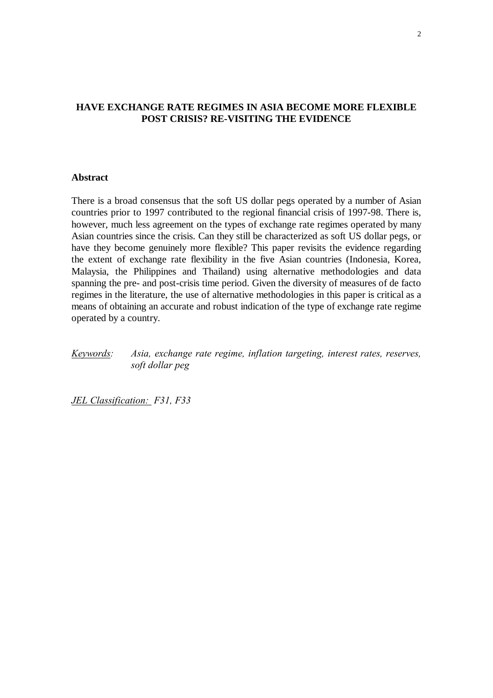# **HAVE EXCHANGE RATE REGIMES IN ASIA BECOME MORE FLEXIBLE POST CRISIS? RE-VISITING THE EVIDENCE**

## **Abstract**

There is a broad consensus that the soft US dollar pegs operated by a number of Asian countries prior to 1997 contributed to the regional financial crisis of 1997-98. There is, however, much less agreement on the types of exchange rate regimes operated by many Asian countries since the crisis. Can they still be characterized as soft US dollar pegs, or have they become genuinely more flexible? This paper revisits the evidence regarding the extent of exchange rate flexibility in the five Asian countries (Indonesia, Korea, Malaysia, the Philippines and Thailand) using alternative methodologies and data spanning the pre- and post-crisis time period. Given the diversity of measures of de facto regimes in the literature, the use of alternative methodologies in this paper is critical as a means of obtaining an accurate and robust indication of the type of exchange rate regime operated by a country.

*Keywords: Asia, exchange rate regime, inflation targeting, interest rates, reserves, soft dollar peg* 

*JEL Classification: F31, F33*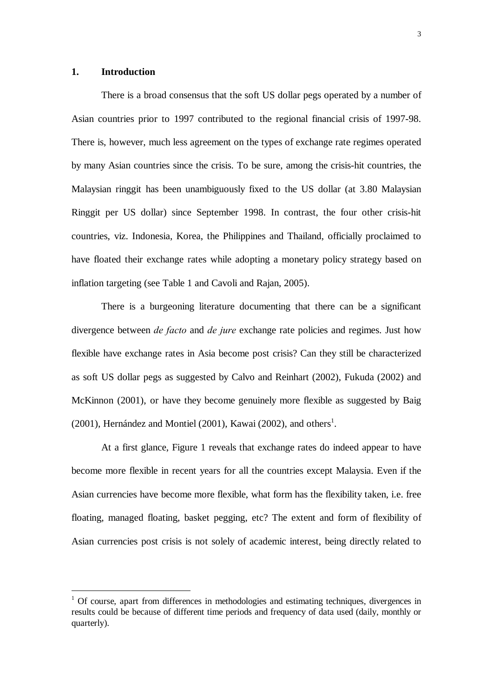# **1. Introduction**

 $\overline{a}$ 

There is a broad consensus that the soft US dollar pegs operated by a number of Asian countries prior to 1997 contributed to the regional financial crisis of 1997-98. There is, however, much less agreement on the types of exchange rate regimes operated by many Asian countries since the crisis. To be sure, among the crisis-hit countries, the Malaysian ringgit has been unambiguously fixed to the US dollar (at 3.80 Malaysian Ringgit per US dollar) since September 1998. In contrast, the four other crisis-hit countries, viz. Indonesia, Korea, the Philippines and Thailand, officially proclaimed to have floated their exchange rates while adopting a monetary policy strategy based on inflation targeting (see Table 1 and Cavoli and Rajan, 2005).

There is a burgeoning literature documenting that there can be a significant divergence between *de facto* and *de jure* exchange rate policies and regimes. Just how flexible have exchange rates in Asia become post crisis? Can they still be characterized as soft US dollar pegs as suggested by Calvo and Reinhart (2002), Fukuda (2002) and McKinnon (2001), or have they become genuinely more flexible as suggested by Baig  $(2001)$ , Hernández and Montiel  $(2001)$ , Kawai  $(2002)$ , and others<sup>1</sup>.

At a first glance, Figure 1 reveals that exchange rates do indeed appear to have become more flexible in recent years for all the countries except Malaysia. Even if the Asian currencies have become more flexible, what form has the flexibility taken, i.e. free floating, managed floating, basket pegging, etc? The extent and form of flexibility of Asian currencies post crisis is not solely of academic interest, being directly related to

<sup>&</sup>lt;sup>1</sup> Of course, apart from differences in methodologies and estimating techniques, divergences in results could be because of different time periods and frequency of data used (daily, monthly or quarterly).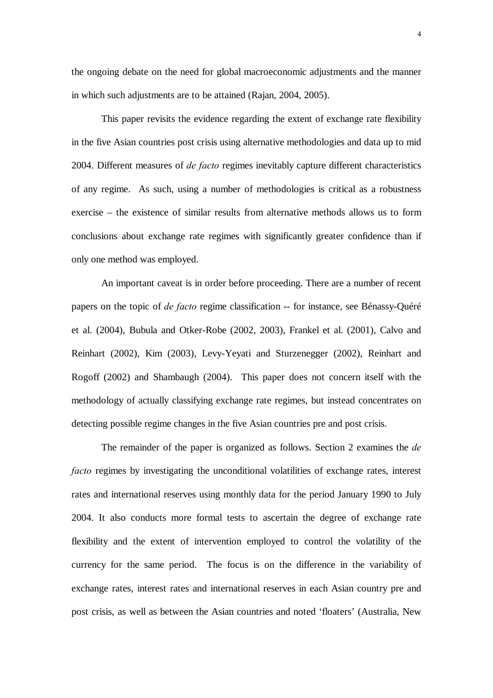the ongoing debate on the need for global macroeconomic adjustments and the manner in which such adjustments are to be attained (Rajan, 2004, 2005).

This paper revisits the evidence regarding the extent of exchange rate flexibility in the five Asian countries post crisis using alternative methodologies and data up to mid 2004. Different measures of *de facto* regimes inevitably capture different characteristics of any regime. As such, using a number of methodologies is critical as a robustness exercise – the existence of similar results from alternative methods allows us to form conclusions about exchange rate regimes with significantly greater confidence than if only one method was employed.

An important caveat is in order before proceeding. There are a number of recent papers on the topic of *de facto* regime classification -- for instance, see Bénassy-Quéré et al. (2004), Bubula and Otker-Robe (2002, 2003), Frankel et al. (2001), Calvo and Reinhart (2002), Kim (2003), Levy-Yeyati and Sturzenegger (2002), Reinhart and Rogoff (2002) and Shambaugh (2004). This paper does not concern itself with the methodology of actually classifying exchange rate regimes, but instead concentrates on detecting possible regime changes in the five Asian countries pre and post crisis.

The remainder of the paper is organized as follows. Section 2 examines the *de facto* regimes by investigating the unconditional volatilities of exchange rates, interest rates and international reserves using monthly data for the period January 1990 to July 2004. It also conducts more formal tests to ascertain the degree of exchange rate flexibility and the extent of intervention employed to control the volatility of the currency for the same period. The focus is on the difference in the variability of exchange rates, interest rates and international reserves in each Asian country pre and post crisis, as well as between the Asian countries and noted 'floaters' (Australia, New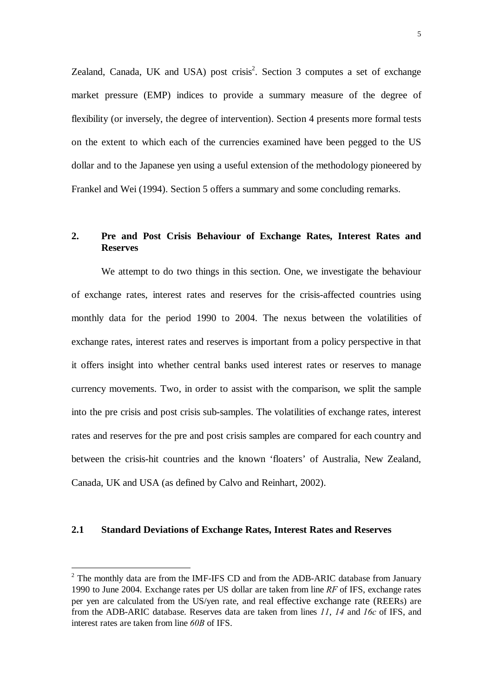Zealand, Canada, UK and USA) post crisis<sup>2</sup>. Section 3 computes a set of exchange market pressure (EMP) indices to provide a summary measure of the degree of flexibility (or inversely, the degree of intervention). Section 4 presents more formal tests on the extent to which each of the currencies examined have been pegged to the US dollar and to the Japanese yen using a useful extension of the methodology pioneered by Frankel and Wei (1994). Section 5 offers a summary and some concluding remarks.

# **2. Pre and Post Crisis Behaviour of Exchange Rates, Interest Rates and Reserves**

We attempt to do two things in this section. One, we investigate the behaviour of exchange rates, interest rates and reserves for the crisis-affected countries using monthly data for the period 1990 to 2004. The nexus between the volatilities of exchange rates, interest rates and reserves is important from a policy perspective in that it offers insight into whether central banks used interest rates or reserves to manage currency movements. Two, in order to assist with the comparison, we split the sample into the pre crisis and post crisis sub-samples. The volatilities of exchange rates, interest rates and reserves for the pre and post crisis samples are compared for each country and between the crisis-hit countries and the known 'floaters' of Australia, New Zealand, Canada, UK and USA (as defined by Calvo and Reinhart, 2002).

# **2.1 Standard Deviations of Exchange Rates, Interest Rates and Reserves**

 $2$  The monthly data are from the IMF-IFS CD and from the ADB-ARIC database from January 1990 to June 2004. Exchange rates per US dollar are taken from line *RF* of IFS, exchange rates per yen are calculated from the US/yen rate, and real effective exchange rate (REERs) are from the ADB-ARIC database. Reserves data are taken from lines *11*, *14* and *16c* of IFS, and interest rates are taken from line *60B* of IFS.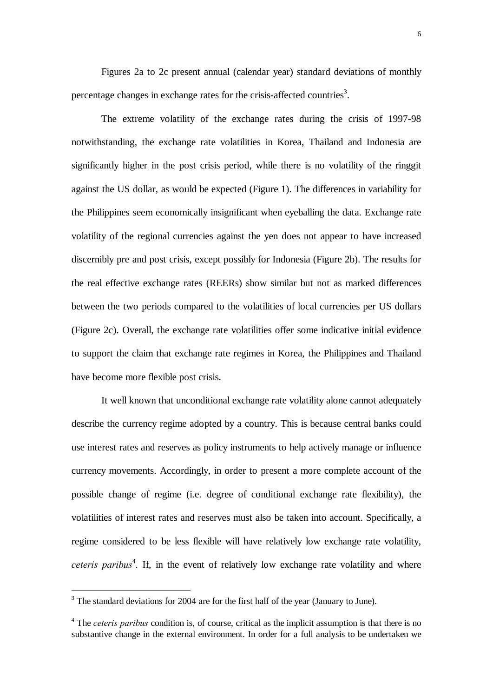Figures 2a to 2c present annual (calendar year) standard deviations of monthly percentage changes in exchange rates for the crisis-affected countries<sup>3</sup>.

 The extreme volatility of the exchange rates during the crisis of 1997-98 notwithstanding, the exchange rate volatilities in Korea, Thailand and Indonesia are significantly higher in the post crisis period, while there is no volatility of the ringgit against the US dollar, as would be expected (Figure 1). The differences in variability for the Philippines seem economically insignificant when eyeballing the data. Exchange rate volatility of the regional currencies against the yen does not appear to have increased discernibly pre and post crisis, except possibly for Indonesia (Figure 2b). The results for the real effective exchange rates (REERs) show similar but not as marked differences between the two periods compared to the volatilities of local currencies per US dollars (Figure 2c). Overall, the exchange rate volatilities offer some indicative initial evidence to support the claim that exchange rate regimes in Korea, the Philippines and Thailand have become more flexible post crisis.

It well known that unconditional exchange rate volatility alone cannot adequately describe the currency regime adopted by a country. This is because central banks could use interest rates and reserves as policy instruments to help actively manage or influence currency movements. Accordingly, in order to present a more complete account of the possible change of regime (i.e. degree of conditional exchange rate flexibility), the volatilities of interest rates and reserves must also be taken into account. Specifically, a regime considered to be less flexible will have relatively low exchange rate volatility, ceteris paribus<sup>4</sup>. If, in the event of relatively low exchange rate volatility and where

 $3$  The standard deviations for 2004 are for the first half of the year (January to June).

<sup>&</sup>lt;sup>4</sup> The *ceteris paribus* condition is, of course, critical as the implicit assumption is that there is no substantive change in the external environment. In order for a full analysis to be undertaken we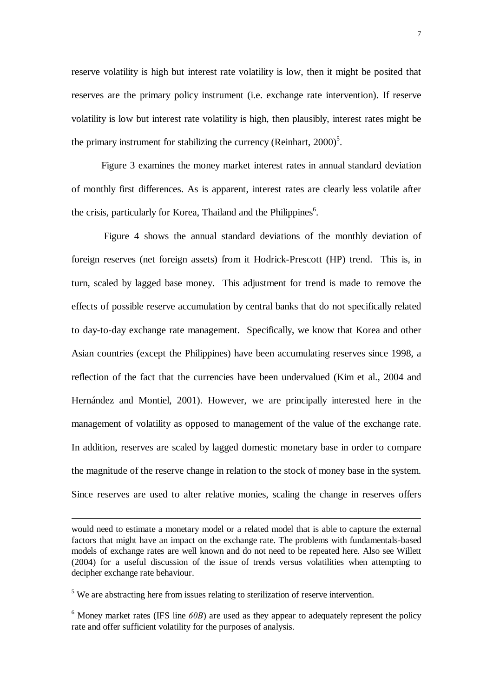reserve volatility is high but interest rate volatility is low, then it might be posited that reserves are the primary policy instrument (i.e. exchange rate intervention). If reserve volatility is low but interest rate volatility is high, then plausibly, interest rates might be the primary instrument for stabilizing the currency (Reinhart,  $2000$ )<sup>5</sup>.

Figure 3 examines the money market interest rates in annual standard deviation of monthly first differences. As is apparent, interest rates are clearly less volatile after the crisis, particularly for Korea, Thailand and the Philippines<sup>6</sup>.

 Figure 4 shows the annual standard deviations of the monthly deviation of foreign reserves (net foreign assets) from it Hodrick-Prescott (HP) trend. This is, in turn, scaled by lagged base money. This adjustment for trend is made to remove the effects of possible reserve accumulation by central banks that do not specifically related to day-to-day exchange rate management. Specifically, we know that Korea and other Asian countries (except the Philippines) have been accumulating reserves since 1998, a reflection of the fact that the currencies have been undervalued (Kim et al., 2004 and Hernández and Montiel, 2001). However, we are principally interested here in the management of volatility as opposed to management of the value of the exchange rate. In addition, reserves are scaled by lagged domestic monetary base in order to compare the magnitude of the reserve change in relation to the stock of money base in the system. Since reserves are used to alter relative monies, scaling the change in reserves offers

would need to estimate a monetary model or a related model that is able to capture the external factors that might have an impact on the exchange rate. The problems with fundamentals-based models of exchange rates are well known and do not need to be repeated here. Also see Willett (2004) for a useful discussion of the issue of trends versus volatilities when attempting to decipher exchange rate behaviour.

<sup>&</sup>lt;sup>5</sup> We are abstracting here from issues relating to sterilization of reserve intervention.

 $6$  Money market rates (IFS line  $60B$ ) are used as they appear to adequately represent the policy rate and offer sufficient volatility for the purposes of analysis.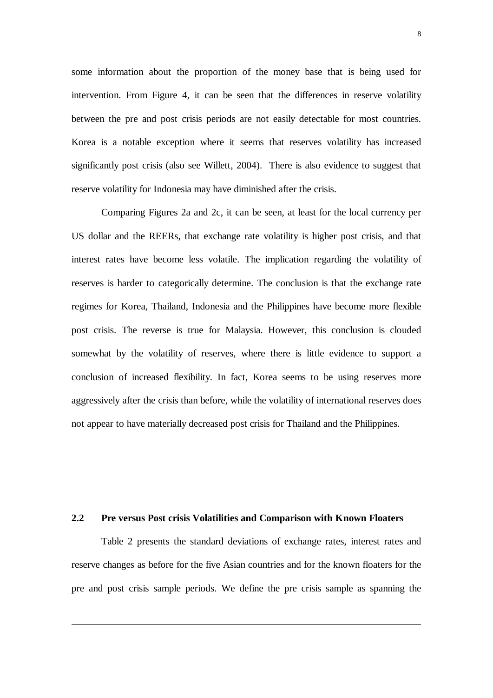some information about the proportion of the money base that is being used for intervention. From Figure 4, it can be seen that the differences in reserve volatility between the pre and post crisis periods are not easily detectable for most countries. Korea is a notable exception where it seems that reserves volatility has increased significantly post crisis (also see Willett, 2004). There is also evidence to suggest that reserve volatility for Indonesia may have diminished after the crisis.

 Comparing Figures 2a and 2c, it can be seen, at least for the local currency per US dollar and the REERs, that exchange rate volatility is higher post crisis, and that interest rates have become less volatile. The implication regarding the volatility of reserves is harder to categorically determine. The conclusion is that the exchange rate regimes for Korea, Thailand, Indonesia and the Philippines have become more flexible post crisis. The reverse is true for Malaysia. However, this conclusion is clouded somewhat by the volatility of reserves, where there is little evidence to support a conclusion of increased flexibility. In fact, Korea seems to be using reserves more aggressively after the crisis than before, while the volatility of international reserves does not appear to have materially decreased post crisis for Thailand and the Philippines.

## **2.2 Pre versus Post crisis Volatilities and Comparison with Known Floaters**

 Table 2 presents the standard deviations of exchange rates, interest rates and reserve changes as before for the five Asian countries and for the known floaters for the pre and post crisis sample periods. We define the pre crisis sample as spanning the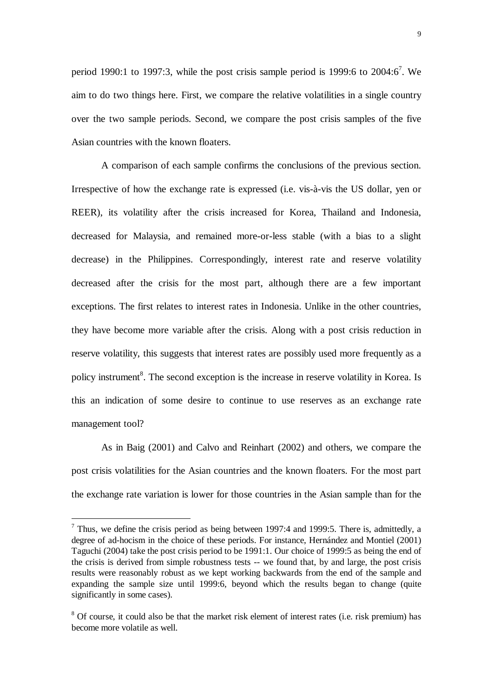period 1990:1 to 1997:3, while the post crisis sample period is 1999:6 to  $2004:6^7$ . We aim to do two things here. First, we compare the relative volatilities in a single country over the two sample periods. Second, we compare the post crisis samples of the five Asian countries with the known floaters.

A comparison of each sample confirms the conclusions of the previous section. Irrespective of how the exchange rate is expressed (i.e. vis-à-vis the US dollar, yen or REER), its volatility after the crisis increased for Korea, Thailand and Indonesia, decreased for Malaysia, and remained more-or-less stable (with a bias to a slight decrease) in the Philippines. Correspondingly, interest rate and reserve volatility decreased after the crisis for the most part, although there are a few important exceptions. The first relates to interest rates in Indonesia. Unlike in the other countries, they have become more variable after the crisis. Along with a post crisis reduction in reserve volatility, this suggests that interest rates are possibly used more frequently as a policy instrument<sup>8</sup>. The second exception is the increase in reserve volatility in Korea. Is this an indication of some desire to continue to use reserves as an exchange rate management tool?

 As in Baig (2001) and Calvo and Reinhart (2002) and others, we compare the post crisis volatilities for the Asian countries and the known floaters. For the most part the exchange rate variation is lower for those countries in the Asian sample than for the

 $<sup>7</sup>$  Thus, we define the crisis period as being between 1997:4 and 1999:5. There is, admittedly, a</sup> degree of ad-hocism in the choice of these periods. For instance, Hernández and Montiel (2001) Taguchi (2004) take the post crisis period to be 1991:1. Our choice of 1999:5 as being the end of the crisis is derived from simple robustness tests -- we found that, by and large, the post crisis results were reasonably robust as we kept working backwards from the end of the sample and expanding the sample size until 1999:6, beyond which the results began to change (quite significantly in some cases).

<sup>&</sup>lt;sup>8</sup> Of course, it could also be that the market risk element of interest rates (i.e. risk premium) has become more volatile as well.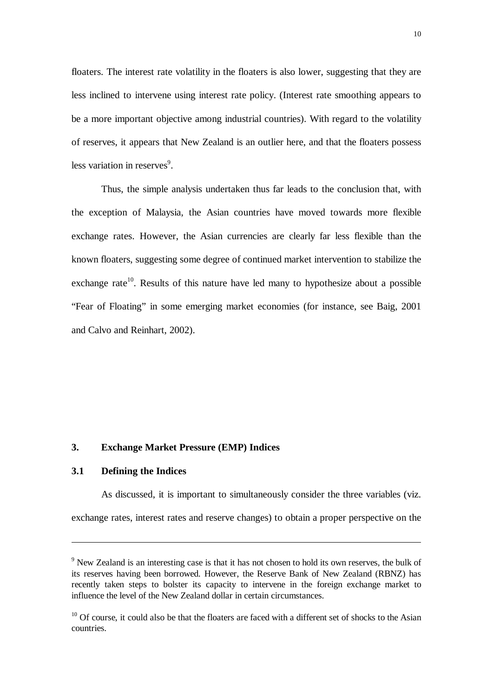floaters. The interest rate volatility in the floaters is also lower, suggesting that they are less inclined to intervene using interest rate policy. (Interest rate smoothing appears to be a more important objective among industrial countries). With regard to the volatility of reserves, it appears that New Zealand is an outlier here, and that the floaters possess less variation in reserves<sup>9</sup>.

Thus, the simple analysis undertaken thus far leads to the conclusion that, with the exception of Malaysia, the Asian countries have moved towards more flexible exchange rates. However, the Asian currencies are clearly far less flexible than the known floaters, suggesting some degree of continued market intervention to stabilize the exchange rate<sup>10</sup>. Results of this nature have led many to hypothesize about a possible "Fear of Floating" in some emerging market economies (for instance, see Baig, 2001 and Calvo and Reinhart, 2002).

#### **3. Exchange Market Pressure (EMP) Indices**

# **3.1 Defining the Indices**

 $\overline{a}$ 

 As discussed, it is important to simultaneously consider the three variables (viz. exchange rates, interest rates and reserve changes) to obtain a proper perspective on the

<sup>&</sup>lt;sup>9</sup> New Zealand is an interesting case is that it has not chosen to hold its own reserves, the bulk of its reserves having been borrowed. However, the Reserve Bank of New Zealand (RBNZ) has recently taken steps to bolster its capacity to intervene in the foreign exchange market to influence the level of the New Zealand dollar in certain circumstances.

 $10$  Of course, it could also be that the floaters are faced with a different set of shocks to the Asian countries.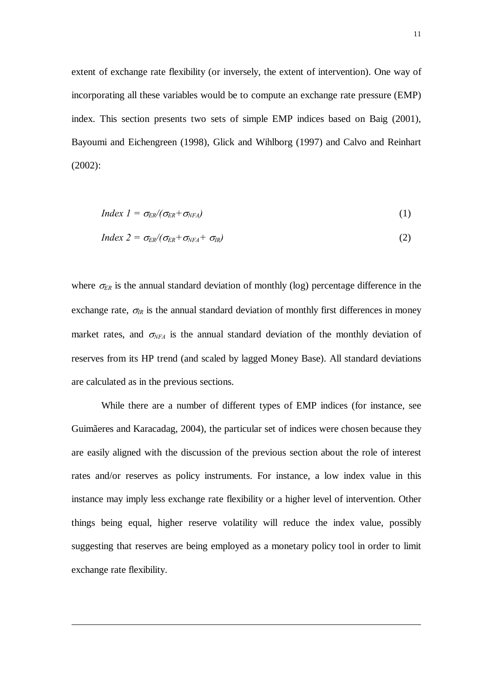extent of exchange rate flexibility (or inversely, the extent of intervention). One way of incorporating all these variables would be to compute an exchange rate pressure (EMP) index. This section presents two sets of simple EMP indices based on Baig (2001), Bayoumi and Eichengreen (1998), Glick and Wihlborg (1997) and Calvo and Reinhart (2002):

$$
Index \t1 = \sigma_{ER}/(\sigma_{ER} + \sigma_{NFA})
$$
 (1)

$$
Index 2 = \sigma_{ER}/(\sigma_{ER} + \sigma_{NFA} + \sigma_{IR})
$$
 (2)

where  $\sigma_{ER}$  is the annual standard deviation of monthly (log) percentage difference in the exchange rate,  $\sigma_{IR}$  is the annual standard deviation of monthly first differences in money market rates, and  $\sigma_{NFA}$  is the annual standard deviation of the monthly deviation of reserves from its HP trend (and scaled by lagged Money Base). All standard deviations are calculated as in the previous sections.

 While there are a number of different types of EMP indices (for instance, see Guimãeres and Karacadag, 2004), the particular set of indices were chosen because they are easily aligned with the discussion of the previous section about the role of interest rates and/or reserves as policy instruments. For instance, a low index value in this instance may imply less exchange rate flexibility or a higher level of intervention. Other things being equal, higher reserve volatility will reduce the index value, possibly suggesting that reserves are being employed as a monetary policy tool in order to limit exchange rate flexibility.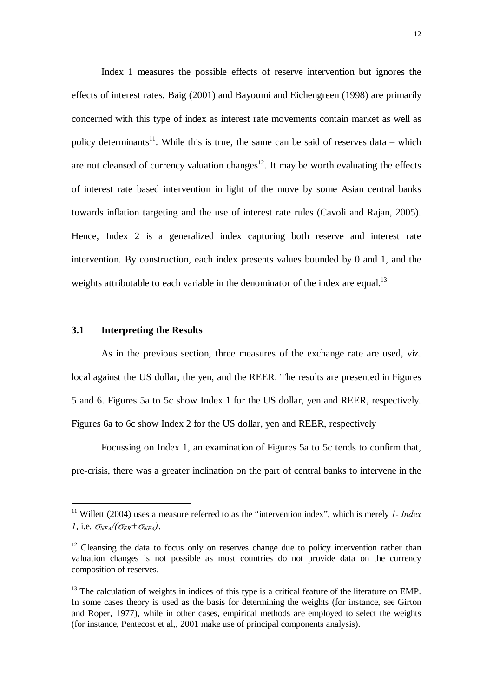Index 1 measures the possible effects of reserve intervention but ignores the effects of interest rates. Baig (2001) and Bayoumi and Eichengreen (1998) are primarily concerned with this type of index as interest rate movements contain market as well as policy determinants<sup>11</sup>. While this is true, the same can be said of reserves data – which are not cleansed of currency valuation changes<sup>12</sup>. It may be worth evaluating the effects of interest rate based intervention in light of the move by some Asian central banks towards inflation targeting and the use of interest rate rules (Cavoli and Rajan, 2005). Hence, Index 2 is a generalized index capturing both reserve and interest rate intervention. By construction, each index presents values bounded by 0 and 1, and the weights attributable to each variable in the denominator of the index are equal.<sup>13</sup>

#### **3.1 Interpreting the Results**

 $\overline{a}$ 

As in the previous section, three measures of the exchange rate are used, viz. local against the US dollar, the yen, and the REER. The results are presented in Figures 5 and 6. Figures 5a to 5c show Index 1 for the US dollar, yen and REER, respectively. Figures 6a to 6c show Index 2 for the US dollar, yen and REER, respectively

Focussing on Index 1, an examination of Figures 5a to 5c tends to confirm that, pre-crisis, there was a greater inclination on the part of central banks to intervene in the

<sup>11</sup> Willett (2004) uses a measure referred to as the "intervention index", which is merely *1- Index l*, i.e.  $\sigma_{NFA}/(\sigma_{ER}+\sigma_{NFA})$ .

 $12$  Cleansing the data to focus only on reserves change due to policy intervention rather than valuation changes is not possible as most countries do not provide data on the currency composition of reserves.

<sup>&</sup>lt;sup>13</sup> The calculation of weights in indices of this type is a critical feature of the literature on EMP. In some cases theory is used as the basis for determining the weights (for instance, see Girton and Roper, 1977), while in other cases, empirical methods are employed to select the weights (for instance, Pentecost et al,, 2001 make use of principal components analysis).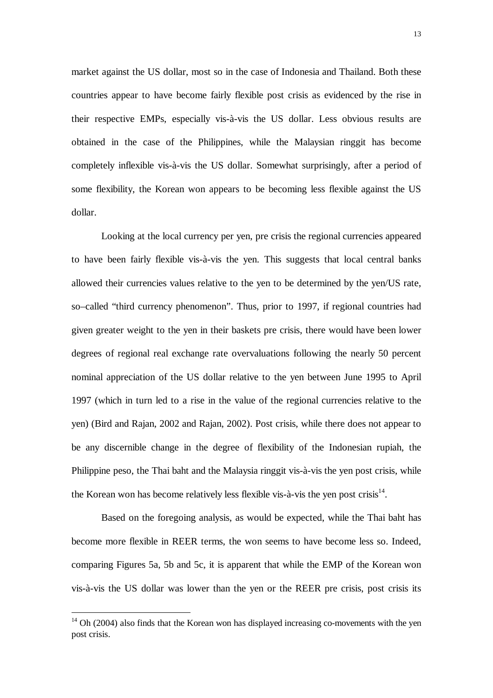market against the US dollar, most so in the case of Indonesia and Thailand. Both these countries appear to have become fairly flexible post crisis as evidenced by the rise in their respective EMPs, especially vis-à-vis the US dollar. Less obvious results are obtained in the case of the Philippines, while the Malaysian ringgit has become completely inflexible vis-à-vis the US dollar. Somewhat surprisingly, after a period of some flexibility, the Korean won appears to be becoming less flexible against the US dollar.

Looking at the local currency per yen, pre crisis the regional currencies appeared to have been fairly flexible vis-à-vis the yen. This suggests that local central banks allowed their currencies values relative to the yen to be determined by the yen/US rate, so–called "third currency phenomenon". Thus, prior to 1997, if regional countries had given greater weight to the yen in their baskets pre crisis, there would have been lower degrees of regional real exchange rate overvaluations following the nearly 50 percent nominal appreciation of the US dollar relative to the yen between June 1995 to April 1997 (which in turn led to a rise in the value of the regional currencies relative to the yen) (Bird and Rajan, 2002 and Rajan, 2002). Post crisis, while there does not appear to be any discernible change in the degree of flexibility of the Indonesian rupiah, the Philippine peso, the Thai baht and the Malaysia ringgit vis-à-vis the yen post crisis, while the Korean won has become relatively less flexible vis- $\hat{a}$ -vis the yen post crisis<sup>14</sup>.

Based on the foregoing analysis, as would be expected, while the Thai baht has become more flexible in REER terms, the won seems to have become less so. Indeed, comparing Figures 5a, 5b and 5c, it is apparent that while the EMP of the Korean won vis-à-vis the US dollar was lower than the yen or the REER pre crisis, post crisis its

 $14$  Oh (2004) also finds that the Korean won has displayed increasing co-movements with the yen post crisis.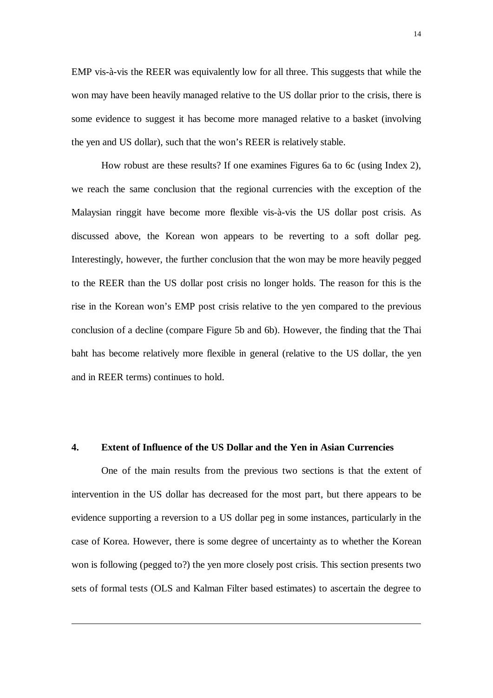EMP vis-à-vis the REER was equivalently low for all three. This suggests that while the won may have been heavily managed relative to the US dollar prior to the crisis, there is some evidence to suggest it has become more managed relative to a basket (involving the yen and US dollar), such that the won's REER is relatively stable.

 How robust are these results? If one examines Figures 6a to 6c (using Index 2), we reach the same conclusion that the regional currencies with the exception of the Malaysian ringgit have become more flexible vis-à-vis the US dollar post crisis. As discussed above, the Korean won appears to be reverting to a soft dollar peg. Interestingly, however, the further conclusion that the won may be more heavily pegged to the REER than the US dollar post crisis no longer holds. The reason for this is the rise in the Korean won's EMP post crisis relative to the yen compared to the previous conclusion of a decline (compare Figure 5b and 6b). However, the finding that the Thai baht has become relatively more flexible in general (relative to the US dollar, the yen and in REER terms) continues to hold.

#### **4. Extent of Influence of the US Dollar and the Yen in Asian Currencies**

 One of the main results from the previous two sections is that the extent of intervention in the US dollar has decreased for the most part, but there appears to be evidence supporting a reversion to a US dollar peg in some instances, particularly in the case of Korea. However, there is some degree of uncertainty as to whether the Korean won is following (pegged to?) the yen more closely post crisis. This section presents two sets of formal tests (OLS and Kalman Filter based estimates) to ascertain the degree to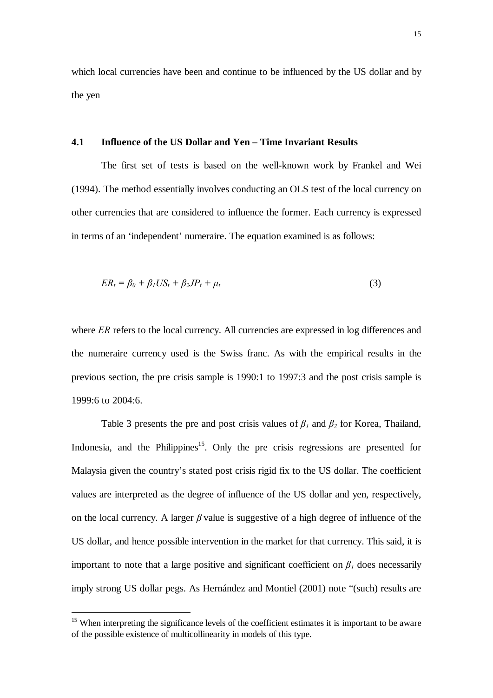which local currencies have been and continue to be influenced by the US dollar and by the yen

### **4.1 Influence of the US Dollar and Yen – Time Invariant Results**

The first set of tests is based on the well-known work by Frankel and Wei (1994). The method essentially involves conducting an OLS test of the local currency on other currencies that are considered to influence the former. Each currency is expressed in terms of an 'independent' numeraire. The equation examined is as follows:

$$
ER_t = \beta_0 + \beta_1 US_t + \beta_2 JP_t + \mu_t \tag{3}
$$

where *ER* refers to the local currency. All currencies are expressed in log differences and the numeraire currency used is the Swiss franc. As with the empirical results in the previous section, the pre crisis sample is 1990:1 to 1997:3 and the post crisis sample is 1999:6 to 2004:6.

Table 3 presents the pre and post crisis values of  $\beta$ <sup>*l*</sup> and  $\beta$ <sup>2</sup> for Korea, Thailand, Indonesia, and the Philippines<sup>15</sup>. Only the pre crisis regressions are presented for Malaysia given the country's stated post crisis rigid fix to the US dollar. The coefficient values are interpreted as the degree of influence of the US dollar and yen, respectively, on the local currency. A larger *β* value is suggestive of a high degree of influence of the US dollar, and hence possible intervention in the market for that currency. This said, it is important to note that a large positive and significant coefficient on  $\beta$ <sup>*I*</sup> does necessarily imply strong US dollar pegs. As Hernández and Montiel (2001) note "(such) results are

 $15$  When interpreting the significance levels of the coefficient estimates it is important to be aware of the possible existence of multicollinearity in models of this type.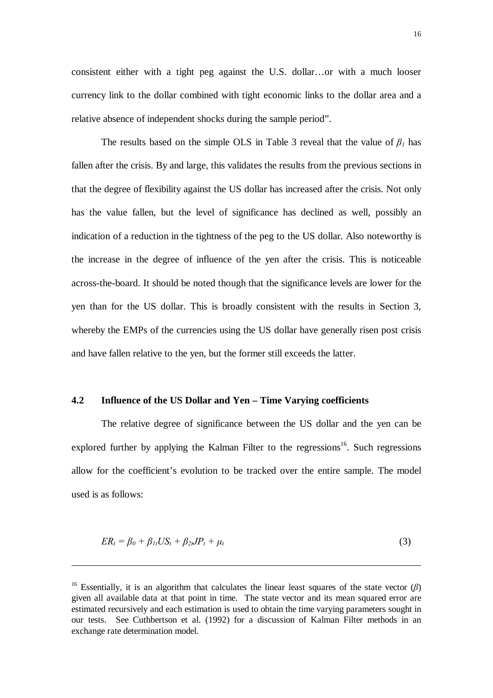consistent either with a tight peg against the U.S. dollar…or with a much looser currency link to the dollar combined with tight economic links to the dollar area and a relative absence of independent shocks during the sample period".

The results based on the simple OLS in Table 3 reveal that the value of  $\beta_l$  has fallen after the crisis. By and large, this validates the results from the previous sections in that the degree of flexibility against the US dollar has increased after the crisis. Not only has the value fallen, but the level of significance has declined as well, possibly an indication of a reduction in the tightness of the peg to the US dollar. Also noteworthy is the increase in the degree of influence of the yen after the crisis. This is noticeable across-the-board. It should be noted though that the significance levels are lower for the yen than for the US dollar. This is broadly consistent with the results in Section 3, whereby the EMPs of the currencies using the US dollar have generally risen post crisis and have fallen relative to the yen, but the former still exceeds the latter.

#### **4.2 Influence of the US Dollar and Yen – Time Varying coefficients**

 $\overline{a}$ 

The relative degree of significance between the US dollar and the yen can be explored further by applying the Kalman Filter to the regressions<sup>16</sup>. Such regressions allow for the coefficient's evolution to be tracked over the entire sample. The model used is as follows:

$$
ER_t = \beta_0 + \beta_{1t}US_t + \beta_{2t}IP_t + \mu_t \tag{3}
$$

<sup>&</sup>lt;sup>16</sup> Essentially, it is an algorithm that calculates the linear least squares of the state vector  $(\beta)$ given all available data at that point in time. The state vector and its mean squared error are estimated recursively and each estimation is used to obtain the time varying parameters sought in our tests. See Cuthbertson et al. (1992) for a discussion of Kalman Filter methods in an exchange rate determination model.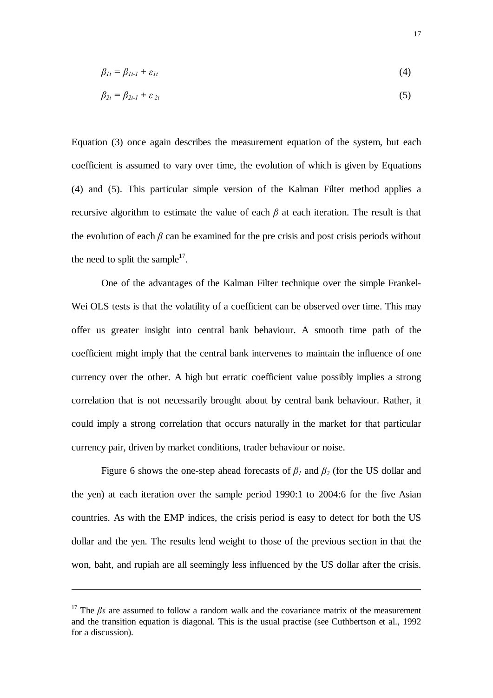$$
\beta_{1t} = \beta_{1t-1} + \varepsilon_{1t} \tag{4}
$$

$$
\beta_{2t} = \beta_{2t-1} + \varepsilon_{2t} \tag{5}
$$

Equation (3) once again describes the measurement equation of the system, but each coefficient is assumed to vary over time, the evolution of which is given by Equations (4) and (5). This particular simple version of the Kalman Filter method applies a recursive algorithm to estimate the value of each *β* at each iteration. The result is that the evolution of each  $\beta$  can be examined for the pre crisis and post crisis periods without the need to split the sample<sup>17</sup>.

One of the advantages of the Kalman Filter technique over the simple Frankel-Wei OLS tests is that the volatility of a coefficient can be observed over time. This may offer us greater insight into central bank behaviour. A smooth time path of the coefficient might imply that the central bank intervenes to maintain the influence of one currency over the other. A high but erratic coefficient value possibly implies a strong correlation that is not necessarily brought about by central bank behaviour. Rather, it could imply a strong correlation that occurs naturally in the market for that particular currency pair, driven by market conditions, trader behaviour or noise.

Figure 6 shows the one-step ahead forecasts of  $\beta_1$  and  $\beta_2$  (for the US dollar and the yen) at each iteration over the sample period 1990:1 to 2004:6 for the five Asian countries. As with the EMP indices, the crisis period is easy to detect for both the US dollar and the yen. The results lend weight to those of the previous section in that the won, baht, and rupiah are all seemingly less influenced by the US dollar after the crisis.

<sup>&</sup>lt;sup>17</sup> The  $\beta s$  are assumed to follow a random walk and the covariance matrix of the measurement and the transition equation is diagonal. This is the usual practise (see Cuthbertson et al., 1992 for a discussion).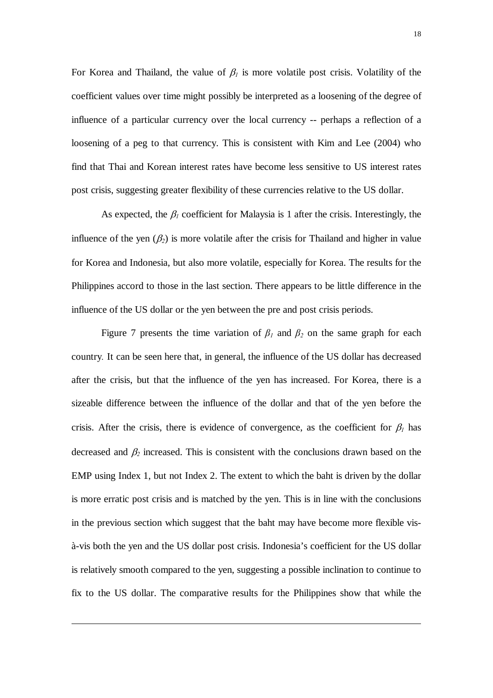For Korea and Thailand, the value of  $\beta_l$  is more volatile post crisis. Volatility of the coefficient values over time might possibly be interpreted as a loosening of the degree of influence of a particular currency over the local currency -- perhaps a reflection of a loosening of a peg to that currency. This is consistent with Kim and Lee (2004) who find that Thai and Korean interest rates have become less sensitive to US interest rates post crisis, suggesting greater flexibility of these currencies relative to the US dollar.

As expected, the  $\beta_l$  coefficient for Malaysia is 1 after the crisis. Interestingly, the influence of the yen  $(\beta_2)$  is more volatile after the crisis for Thailand and higher in value for Korea and Indonesia, but also more volatile, especially for Korea. The results for the Philippines accord to those in the last section. There appears to be little difference in the influence of the US dollar or the yen between the pre and post crisis periods.

Figure 7 presents the time variation of  $\beta_1$  and  $\beta_2$  on the same graph for each country*.* It can be seen here that, in general, the influence of the US dollar has decreased after the crisis, but that the influence of the yen has increased. For Korea, there is a sizeable difference between the influence of the dollar and that of the yen before the crisis. After the crisis, there is evidence of convergence, as the coefficient for  $\beta_l$  has decreased and  $\beta_2$  increased. This is consistent with the conclusions drawn based on the EMP using Index 1, but not Index 2. The extent to which the baht is driven by the dollar is more erratic post crisis and is matched by the yen. This is in line with the conclusions in the previous section which suggest that the baht may have become more flexible visà-vis both the yen and the US dollar post crisis. Indonesia's coefficient for the US dollar is relatively smooth compared to the yen, suggesting a possible inclination to continue to fix to the US dollar. The comparative results for the Philippines show that while the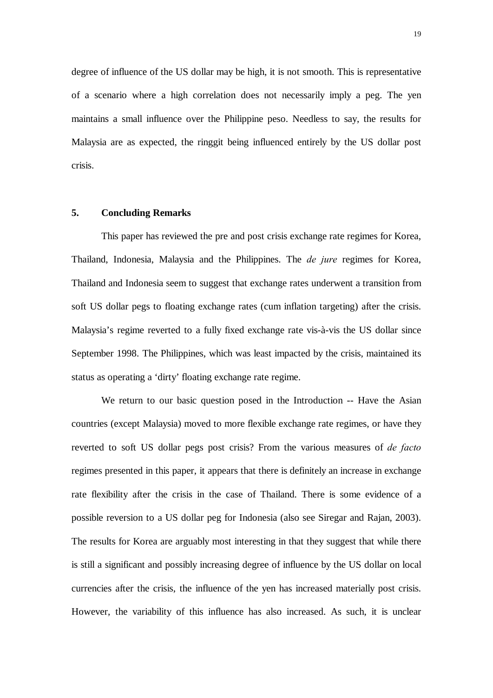degree of influence of the US dollar may be high, it is not smooth. This is representative of a scenario where a high correlation does not necessarily imply a peg. The yen maintains a small influence over the Philippine peso. Needless to say, the results for Malaysia are as expected, the ringgit being influenced entirely by the US dollar post crisis.

#### **5. Concluding Remarks**

 This paper has reviewed the pre and post crisis exchange rate regimes for Korea, Thailand, Indonesia, Malaysia and the Philippines. The *de jure* regimes for Korea, Thailand and Indonesia seem to suggest that exchange rates underwent a transition from soft US dollar pegs to floating exchange rates (cum inflation targeting) after the crisis. Malaysia's regime reverted to a fully fixed exchange rate vis-à-vis the US dollar since September 1998. The Philippines, which was least impacted by the crisis, maintained its status as operating a 'dirty' floating exchange rate regime.

 We return to our basic question posed in the Introduction -- Have the Asian countries (except Malaysia) moved to more flexible exchange rate regimes, or have they reverted to soft US dollar pegs post crisis? From the various measures of *de facto* regimes presented in this paper, it appears that there is definitely an increase in exchange rate flexibility after the crisis in the case of Thailand. There is some evidence of a possible reversion to a US dollar peg for Indonesia (also see Siregar and Rajan, 2003). The results for Korea are arguably most interesting in that they suggest that while there is still a significant and possibly increasing degree of influence by the US dollar on local currencies after the crisis, the influence of the yen has increased materially post crisis. However, the variability of this influence has also increased. As such, it is unclear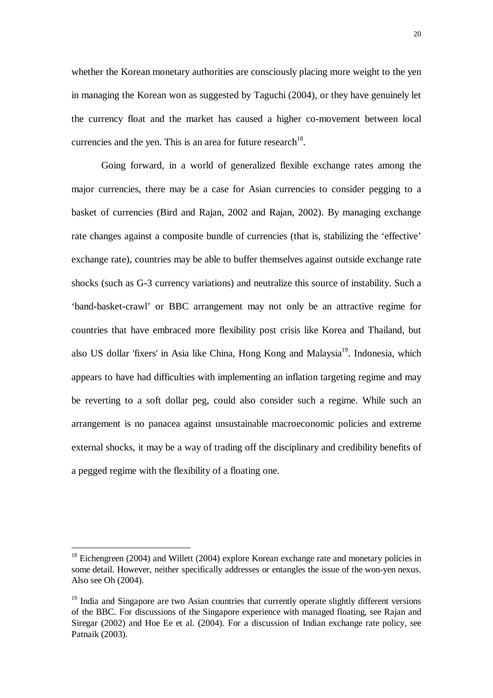whether the Korean monetary authorities are consciously placing more weight to the yen in managing the Korean won as suggested by Taguchi (2004), or they have genuinely let the currency float and the market has caused a higher co-movement between local currencies and the yen. This is an area for future research<sup>18</sup>.

Going forward, in a world of generalized flexible exchange rates among the major currencies, there may be a case for Asian currencies to consider pegging to a basket of currencies (Bird and Rajan, 2002 and Rajan, 2002). By managing exchange rate changes against a composite bundle of currencies (that is, stabilizing the 'effective' exchange rate), countries may be able to buffer themselves against outside exchange rate shocks (such as G-3 currency variations) and neutralize this source of instability. Such a 'band-basket-crawl' or BBC arrangement may not only be an attractive regime for countries that have embraced more flexibility post crisis like Korea and Thailand, but also US dollar 'fixers' in Asia like China, Hong Kong and Malaysia<sup>19</sup>. Indonesia, which appears to have had difficulties with implementing an inflation targeting regime and may be reverting to a soft dollar peg, could also consider such a regime. While such an arrangement is no panacea against unsustainable macroeconomic policies and extreme external shocks, it may be a way of trading off the disciplinary and credibility benefits of a pegged regime with the flexibility of a floating one.

 $18$  Eichengreen (2004) and Willett (2004) explore Korean exchange rate and monetary policies in some detail. However, neither specifically addresses or entangles the issue of the won-yen nexus. Also see Oh (2004).

<sup>&</sup>lt;sup>19</sup> India and Singapore are two Asian countries that currently operate slightly different versions of the BBC. For discussions of the Singapore experience with managed floating, see Rajan and Siregar (2002) and Hoe Ee et al. (2004). For a discussion of Indian exchange rate policy, see Patnaik (2003).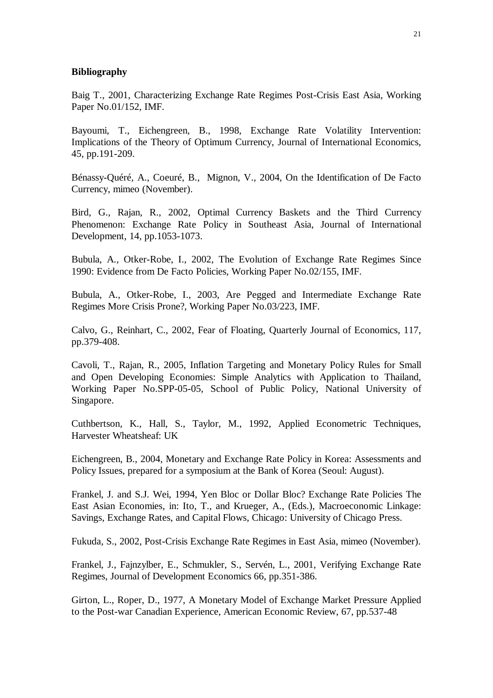#### **Bibliography**

Baig T., 2001, Characterizing Exchange Rate Regimes Post-Crisis East Asia, Working Paper No.01/152, IMF.

Bayoumi, T., Eichengreen, B., 1998, Exchange Rate Volatility Intervention: Implications of the Theory of Optimum Currency, Journal of International Economics, 45, pp.191-209.

Bénassy-Quéré, A., Coeuré, B., Mignon, V., 2004, On the Identification of De Facto Currency, mimeo (November).

Bird, G., Rajan, R., 2002, Optimal Currency Baskets and the Third Currency Phenomenon: Exchange Rate Policy in Southeast Asia, Journal of International Development, 14, pp.1053-1073.

Bubula, A., Otker-Robe, I., 2002, The Evolution of Exchange Rate Regimes Since 1990: Evidence from De Facto Policies, Working Paper No.02/155, IMF.

Bubula, A., Otker-Robe, I., 2003, Are Pegged and Intermediate Exchange Rate Regimes More Crisis Prone?, Working Paper No.03/223, IMF.

Calvo, G., Reinhart, C., 2002, Fear of Floating, Quarterly Journal of Economics, 117, pp.379-408.

Cavoli, T., Rajan, R., 2005, Inflation Targeting and Monetary Policy Rules for Small and Open Developing Economies: Simple Analytics with Application to Thailand, Working Paper No.SPP-05-05, School of Public Policy, National University of Singapore.

Cuthbertson, K., Hall, S., Taylor, M., 1992, Applied Econometric Techniques, Harvester Wheatsheaf: UK

Eichengreen, B., 2004, Monetary and Exchange Rate Policy in Korea: Assessments and Policy Issues, prepared for a symposium at the Bank of Korea (Seoul: August).

Frankel, J. and S.J. Wei, 1994, Yen Bloc or Dollar Bloc? Exchange Rate Policies The East Asian Economies, in: Ito, T., and Krueger, A., (Eds.), Macroeconomic Linkage: Savings, Exchange Rates, and Capital Flows, Chicago: University of Chicago Press.

Fukuda, S., 2002, Post-Crisis Exchange Rate Regimes in East Asia, mimeo (November).

Frankel, J., Fajnzylber, E., Schmukler, S., Servén, L., 2001, Verifying Exchange Rate Regimes, Journal of Development Economics 66, pp.351-386.

Girton, L., Roper, D., 1977, A Monetary Model of Exchange Market Pressure Applied to the Post-war Canadian Experience, American Economic Review, 67, pp.537-48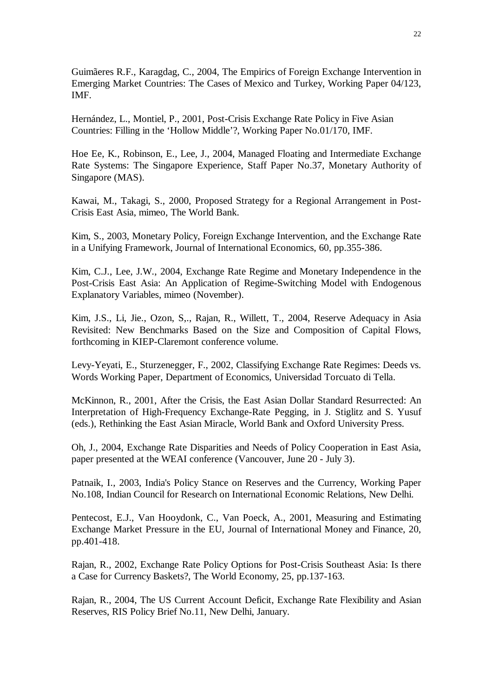Guimãeres R.F., Karagdag, C., 2004, The Empirics of Foreign Exchange Intervention in Emerging Market Countries: The Cases of Mexico and Turkey, Working Paper 04/123, IMF.

Hernández, L., Montiel, P., 2001, Post-Crisis Exchange Rate Policy in Five Asian Countries: Filling in the 'Hollow Middle'?, Working Paper No.01/170, IMF.

Hoe Ee, K., Robinson, E., Lee, J., 2004, Managed Floating and Intermediate Exchange Rate Systems: The Singapore Experience, Staff Paper No.37, Monetary Authority of Singapore (MAS).

Kawai, M., Takagi, S., 2000, Proposed Strategy for a Regional Arrangement in Post-Crisis East Asia, mimeo, The World Bank.

Kim, S., 2003, Monetary Policy, Foreign Exchange Intervention, and the Exchange Rate in a Unifying Framework, Journal of International Economics, 60, pp.355-386.

Kim, C.J., Lee, J.W., 2004, Exchange Rate Regime and Monetary Independence in the Post-Crisis East Asia: An Application of Regime-Switching Model with Endogenous Explanatory Variables, mimeo (November).

Kim, J.S., Li, Jie., Ozon, S,., Rajan, R., Willett, T., 2004, Reserve Adequacy in Asia Revisited: New Benchmarks Based on the Size and Composition of Capital Flows, forthcoming in KIEP-Claremont conference volume.

Levy-Yeyati, E., Sturzenegger, F., 2002, Classifying Exchange Rate Regimes: Deeds vs. Words Working Paper, Department of Economics, Universidad Torcuato di Tella.

McKinnon, R., 2001, After the Crisis, the East Asian Dollar Standard Resurrected: An Interpretation of High-Frequency Exchange-Rate Pegging, in J. Stiglitz and S. Yusuf (eds.), Rethinking the East Asian Miracle, World Bank and Oxford University Press.

Oh, J., 2004, Exchange Rate Disparities and Needs of Policy Cooperation in East Asia, paper presented at the WEAI conference (Vancouver, June 20 - July 3).

Patnaik, I., 2003, India's Policy Stance on Reserves and the Currency, Working Paper No.108, Indian Council for Research on International Economic Relations, New Delhi.

Pentecost, E.J., Van Hooydonk, C., Van Poeck, A., 2001, Measuring and Estimating Exchange Market Pressure in the EU, Journal of International Money and Finance, 20, pp.401-418.

Rajan, R., 2002, Exchange Rate Policy Options for Post-Crisis Southeast Asia: Is there a Case for Currency Baskets?, The World Economy, 25, pp.137-163.

Rajan, R., 2004, The US Current Account Deficit, Exchange Rate Flexibility and Asian Reserves, RIS Policy Brief No.11, New Delhi, January.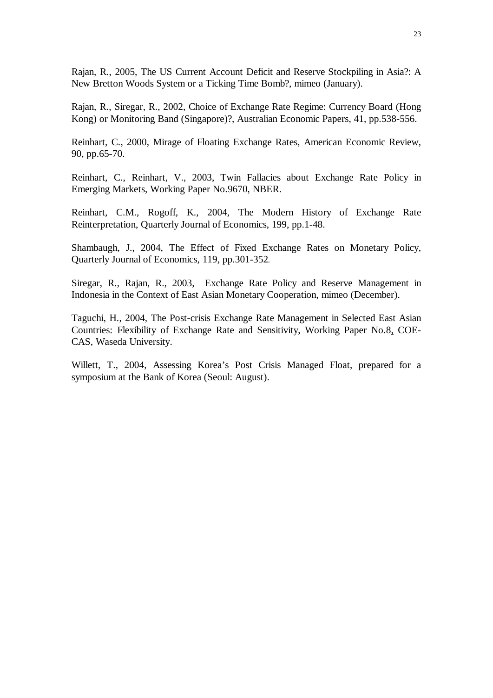Rajan, R., 2005, The US Current Account Deficit and Reserve Stockpiling in Asia?: A New Bretton Woods System or a Ticking Time Bomb?, mimeo (January).

Rajan, R., Siregar, R., 2002, Choice of Exchange Rate Regime: Currency Board (Hong Kong) or Monitoring Band (Singapore)?, Australian Economic Papers, 41, pp.538-556.

Reinhart, C., 2000, Mirage of Floating Exchange Rates, American Economic Review, 90, pp.65-70.

Reinhart, C., Reinhart, V., 2003, Twin Fallacies about Exchange Rate Policy in Emerging Markets, Working Paper No.9670, NBER.

Reinhart, C.M., Rogoff, K., 2004, The Modern History of Exchange Rate Reinterpretation, Quarterly Journal of Economics, 199, pp.1-48.

Shambaugh, J., 2004, The Effect of Fixed Exchange Rates on Monetary Policy, Quarterly Journal of Economics, 119, pp.301-352*.*

Siregar, R., Rajan, R., 2003, Exchange Rate Policy and Reserve Management in Indonesia in the Context of East Asian Monetary Cooperation, mimeo (December).

Taguchi, H., 2004, The Post-crisis Exchange Rate Management in Selected East Asian Countries: Flexibility of Exchange Rate and Sensitivity, Working Paper No.8, COE-CAS, Waseda University.

Willett, T., 2004, Assessing Korea's Post Crisis Managed Float, prepared for a symposium at the Bank of Korea (Seoul: August).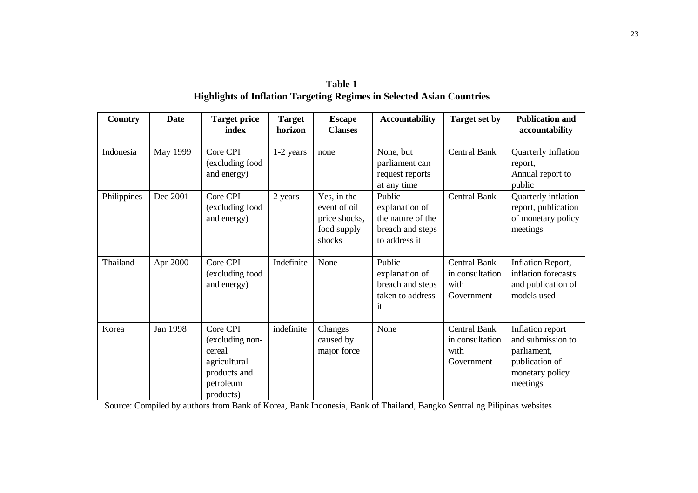| Country     | <b>Date</b> | <b>Target price</b><br>index                                                                    | <b>Target</b><br>horizon | <b>Escape</b><br><b>Clauses</b>                                       | <b>Accountability</b>                                                              | <b>Target set by</b>                                  | <b>Publication and</b><br>accountability                                                              |
|-------------|-------------|-------------------------------------------------------------------------------------------------|--------------------------|-----------------------------------------------------------------------|------------------------------------------------------------------------------------|-------------------------------------------------------|-------------------------------------------------------------------------------------------------------|
| Indonesia   | May 1999    | Core CPI<br>(excluding food<br>and energy)                                                      | 1-2 years                | none                                                                  | None, but<br>parliament can<br>request reports<br>at any time                      | <b>Central Bank</b>                                   | Quarterly Inflation<br>report,<br>Annual report to<br>public                                          |
| Philippines | Dec 2001    | Core CPI<br>(excluding food<br>and energy)                                                      | 2 years                  | Yes, in the<br>event of oil<br>price shocks,<br>food supply<br>shocks | Public<br>explanation of<br>the nature of the<br>breach and steps<br>to address it | <b>Central Bank</b>                                   | Quarterly inflation<br>report, publication<br>of monetary policy<br>meetings                          |
| Thailand    | Apr 2000    | Core CPI<br>(excluding food<br>and energy)                                                      | Indefinite               | None                                                                  | Public<br>explanation of<br>breach and steps<br>taken to address<br>it             | Central Bank<br>in consultation<br>with<br>Government | Inflation Report,<br>inflation forecasts<br>and publication of<br>models used                         |
| Korea       | Jan 1998    | Core CPI<br>(excluding non-<br>cereal<br>agricultural<br>products and<br>petroleum<br>products) | indefinite               | Changes<br>caused by<br>major force                                   | None                                                                               | Central Bank<br>in consultation<br>with<br>Government | Inflation report<br>and submission to<br>parliament,<br>publication of<br>monetary policy<br>meetings |

| <b>Table 1</b>                                                               |  |  |  |  |  |  |  |  |
|------------------------------------------------------------------------------|--|--|--|--|--|--|--|--|
| <b>Highlights of Inflation Targeting Regimes in Selected Asian Countries</b> |  |  |  |  |  |  |  |  |

Source: Compiled by authors from Bank of Korea, Bank Indonesia, Bank of Thailand, Bangko Sentral ng Pilipinas websites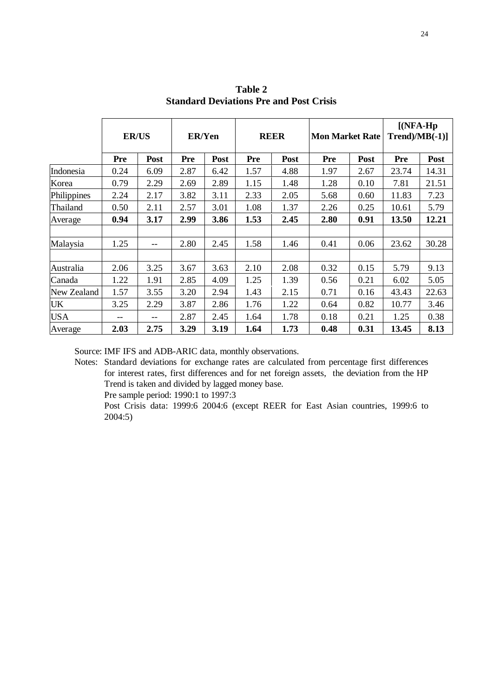|             | <b>ER/US</b> |             | <b>ER/Yen</b> |             | <b>REER</b> |             | <b>Mon Market Rate</b> |             | $[$ (NFA-Hp<br>$Trend)/MB(-1)$ ] |             |
|-------------|--------------|-------------|---------------|-------------|-------------|-------------|------------------------|-------------|----------------------------------|-------------|
|             | <b>Pre</b>   | <b>Post</b> | Pre           | <b>Post</b> | <b>Pre</b>  | <b>Post</b> | <b>Pre</b>             | <b>Post</b> | <b>Pre</b>                       | <b>Post</b> |
| Indonesia   | 0.24         | 6.09        | 2.87          | 6.42        | 1.57        | 4.88        | 1.97                   | 2.67        | 23.74                            | 14.31       |
| Korea       | 0.79         | 2.29        | 2.69          | 2.89        | 1.15        | 1.48        | 1.28                   | 0.10        | 7.81                             | 21.51       |
| Philippines | 2.24         | 2.17        | 3.82          | 3.11        | 2.33        | 2.05        | 5.68                   | 0.60        | 11.83                            | 7.23        |
| Thailand    | 0.50         | 2.11        | 2.57          | 3.01        | 1.08        | 1.37        | 2.26                   | 0.25        | 10.61                            | 5.79        |
| Average     | 0.94         | 3.17        | 2.99          | 3.86        | 1.53        | 2.45        | 2.80                   | 0.91        | 13.50                            | 12.21       |
|             |              |             |               |             |             |             |                        |             |                                  |             |
| Malaysia    | 1.25         | --          | 2.80          | 2.45        | 1.58        | 1.46        | 0.41                   | 0.06        | 23.62                            | 30.28       |
|             |              |             |               |             |             |             |                        |             |                                  |             |
| Australia   | 2.06         | 3.25        | 3.67          | 3.63        | 2.10        | 2.08        | 0.32                   | 0.15        | 5.79                             | 9.13        |
| Canada      | 1.22         | 1.91        | 2.85          | 4.09        | 1.25        | 1.39        | 0.56                   | 0.21        | 6.02                             | 5.05        |
| New Zealand | 1.57         | 3.55        | 3.20          | 2.94        | 1.43        | 2.15        | 0.71                   | 0.16        | 43.43                            | 22.63       |
| <b>UK</b>   | 3.25         | 2.29        | 3.87          | 2.86        | 1.76        | 1.22        | 0.64                   | 0.82        | 10.77                            | 3.46        |
| <b>USA</b>  |              | --          | 2.87          | 2.45        | 1.64        | 1.78        | 0.18                   | 0.21        | 1.25                             | 0.38        |
| Average     | 2.03         | 2.75        | 3.29          | 3.19        | 1.64        | 1.73        | 0.48                   | 0.31        | 13.45                            | 8.13        |

**Table 2 Standard Deviations Pre and Post Crisis** 

Source: IMF IFS and ADB-ARIC data, monthly observations.

Notes: Standard deviations for exchange rates are calculated from percentage first differences for interest rates, first differences and for net foreign assets, the deviation from the HP Trend is taken and divided by lagged money base.

Pre sample period: 1990:1 to 1997:3

Post Crisis data: 1999:6 2004:6 (except REER for East Asian countries, 1999:6 to 2004:5)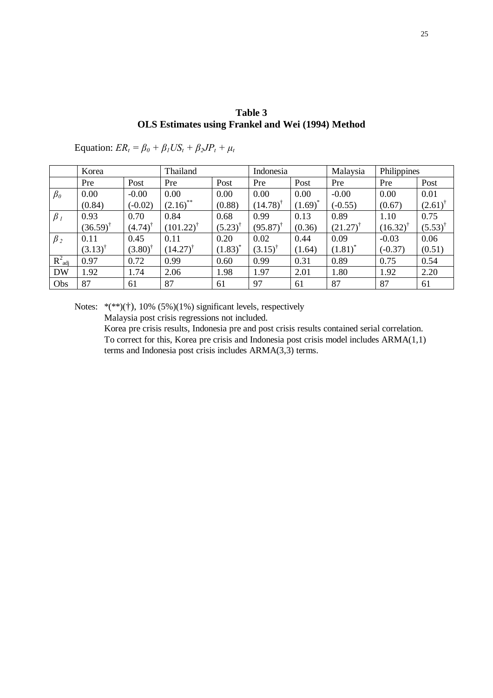# **Table 3 OLS Estimates using Frankel and Wei (1994) Method**

|                    | Korea               |                       | Thailand            |                    | Indonesia              |              | Malaysia      | Philippines         |                       |
|--------------------|---------------------|-----------------------|---------------------|--------------------|------------------------|--------------|---------------|---------------------|-----------------------|
|                    | Pre                 | Post                  | Pre                 | Post               | Pre                    | Post         | Pre           | Pre                 | Post                  |
| $\beta_0$          | 0.00                | $-0.00$               | 0.00                | 0.00               | 0.00                   | 0.00         | $-0.00$       | 0.00                | 0.01                  |
|                    | (0.84)              | $(-0.02)$             | $(2.16)^{^{\circ}}$ | (0.88)             | $(14.78)^{t}$          | $(1.69)^{*}$ | $(-0.55)$     | (0.67)              | $(2.61)$ <sup>†</sup> |
| $\beta_I$          | 0.93                | 0.70                  | 0.84                | 0.68               | 0.99                   | 0.13         | 0.89          | 1.10                | 0.75                  |
|                    | $(36.59)^{\dagger}$ | $(4.74)^{\dagger}$    | $(101.22)^{T}$      | $(5.23)^{\dagger}$ | $(95.87)$ <sup>†</sup> | (0.36)       | $(21.27)^{t}$ | $(16.32)^{\dagger}$ | $(5.53)$ <sup>†</sup> |
| $\beta_2$          | 0.11                | 0.45                  | 0.11                | 0.20               | 0.02                   | 0.44         | 0.09          | $-0.03$             | 0.06                  |
|                    | $(3.13)^{t}$        | $(3.80)$ <sup>†</sup> | $(14.27)^{t}$       | $(1.83)^*$         | $(3.15)^{\dagger}$     | (1.64)       | $(1.81)^*$    | $(-0.37)$           | (0.51)                |
| $R^2_{\text{adj}}$ | 0.97                | 0.72                  | 0.99                | 0.60               | 0.99                   | 0.31         | 0.89          | 0.75                | 0.54                  |
| <b>DW</b>          | 1.92                | 1.74                  | 2.06                | 1.98               | 1.97                   | 2.01         | 1.80          | 1.92                | 2.20                  |
| Obs                | 87                  | 61                    | 87                  | 61                 | 97                     | 61           | 87            | 87                  | 61                    |

Equation:  $ER_t = \beta_0 + \beta_1 US_t + \beta_2 JP_t + \mu_t$ 

Notes: \*(\*\*)(†), 10% (5%)(1%) significant levels, respectively Malaysia post crisis regressions not included.

> Korea pre crisis results, Indonesia pre and post crisis results contained serial correlation. To correct for this, Korea pre crisis and Indonesia post crisis model includes ARMA(1,1) terms and Indonesia post crisis includes ARMA(3,3) terms.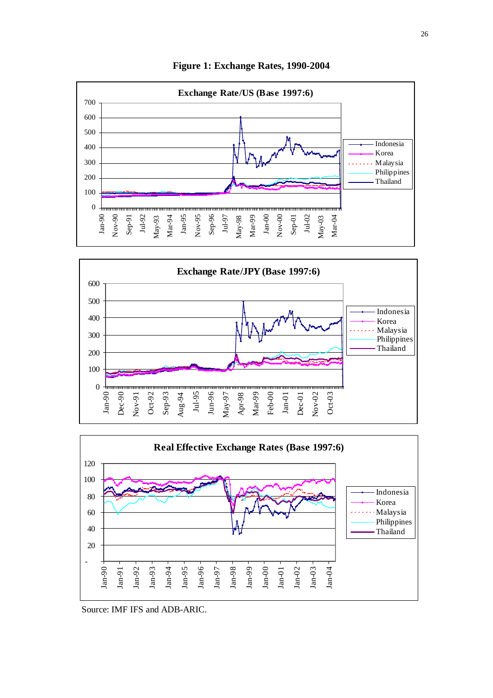

**Figure 1: Exchange Rates, 1990-2004** 





Source: IMF IFS and ADB-ARIC.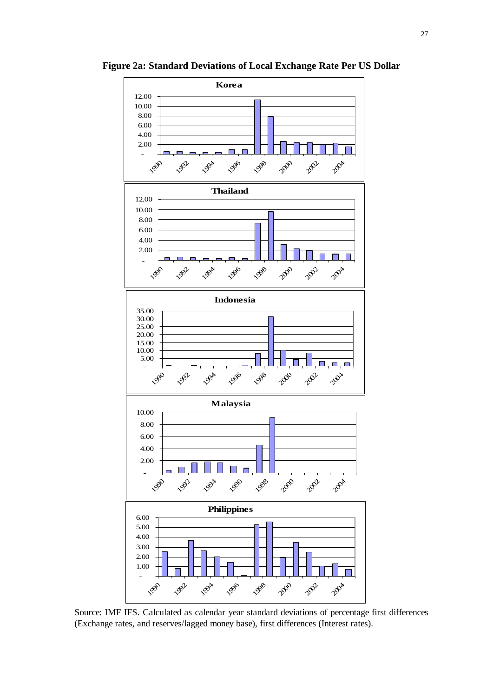

**Figure 2a: Standard Deviations of Local Exchange Rate Per US Dollar**

Source: IMF IFS. Calculated as calendar year standard deviations of percentage first differences (Exchange rates, and reserves/lagged money base), first differences (Interest rates).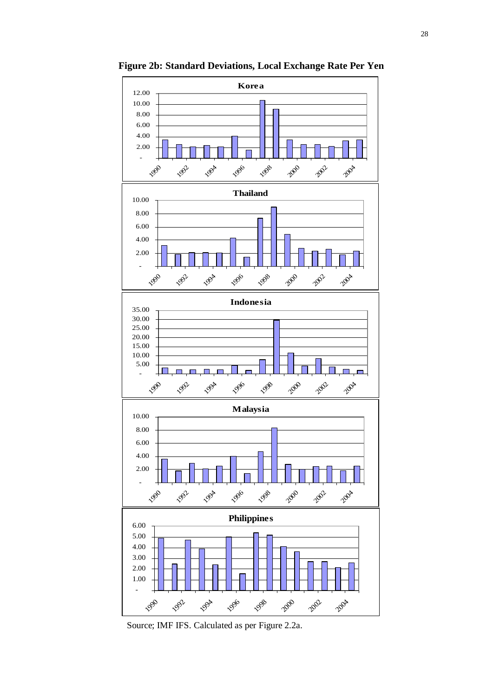

**Figure 2b: Standard Deviations, Local Exchange Rate Per Yen** 

Source; IMF IFS. Calculated as per Figure 2.2a.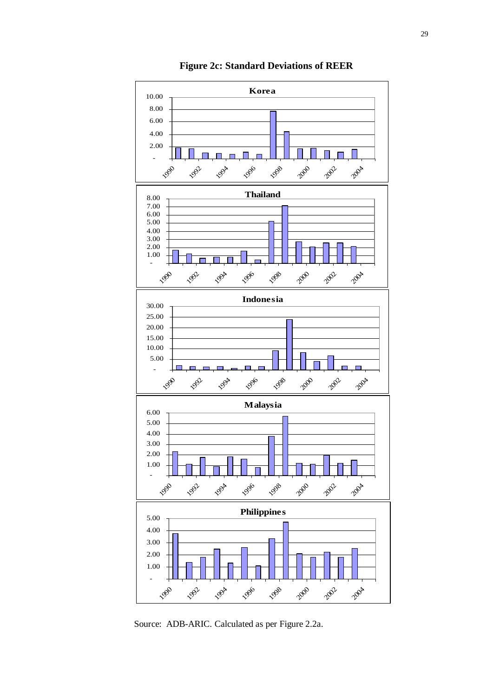

**Figure 2c: Standard Deviations of REER** 

Source: ADB-ARIC. Calculated as per Figure 2.2a.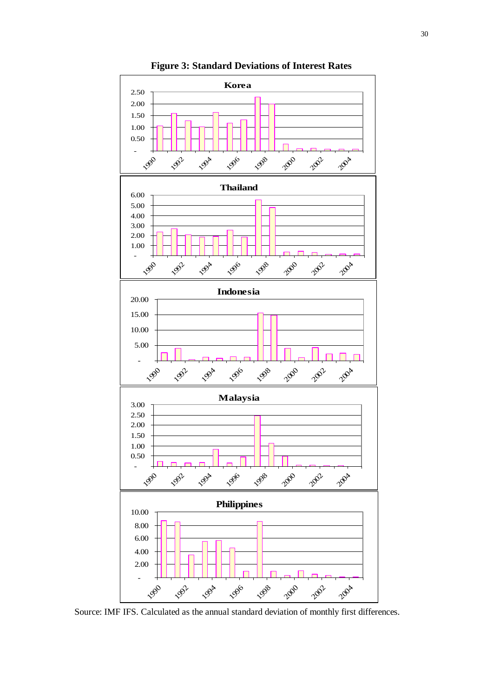

**Figure 3: Standard Deviations of Interest Rates**

Source: IMF IFS. Calculated as the annual standard deviation of monthly first differences.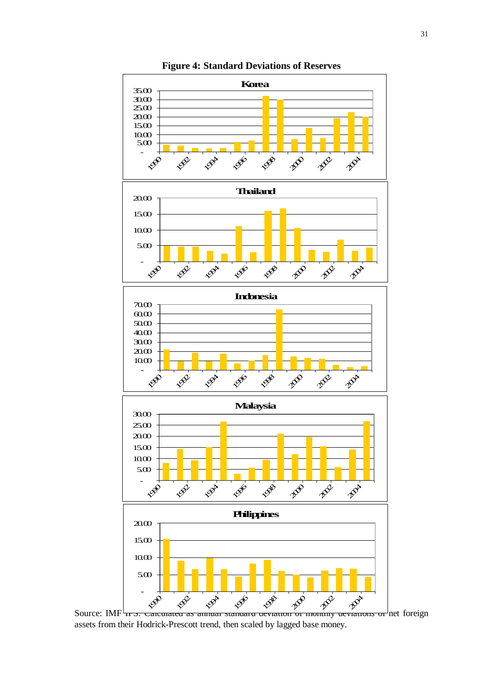

**Figure 4: Standard Deviations of Reserves** 

Source: IMF  $\text{Tr } S$ . Calculated as annual standard deviation of monthly deviations of net foreign assets from their Hodrick-Prescott trend, then scaled by lagged base money.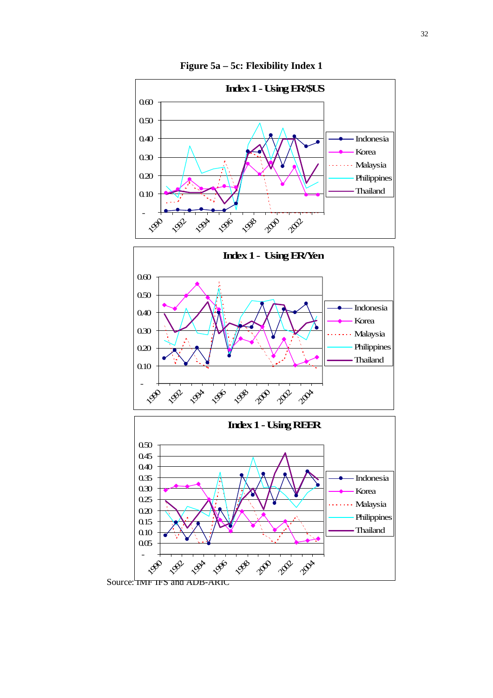

**Figure 5a – 5c: Flexibility Index 1** 

Source: IMF IFS and ADB-ARIC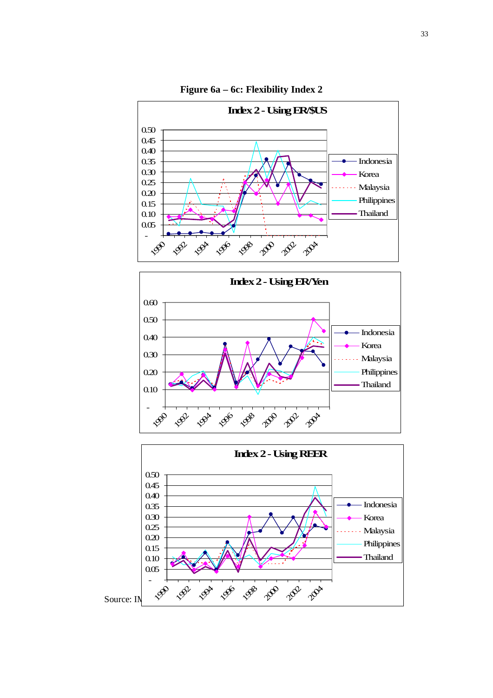

**Figure 6a – 6c: Flexibility Index 2** 



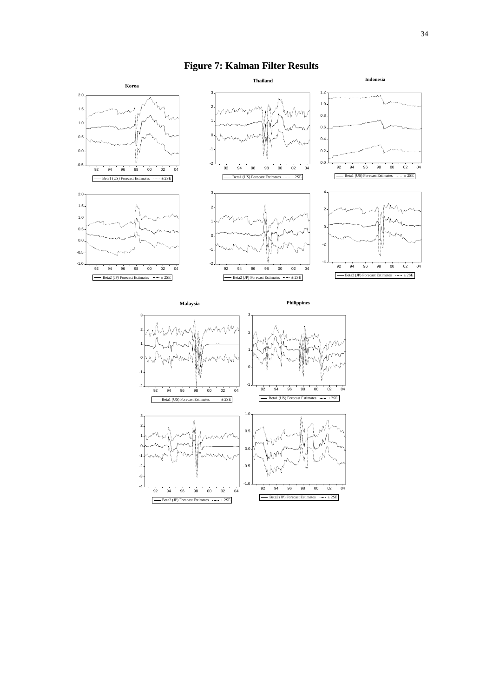# **Figure 7: Kalman Filter Results**